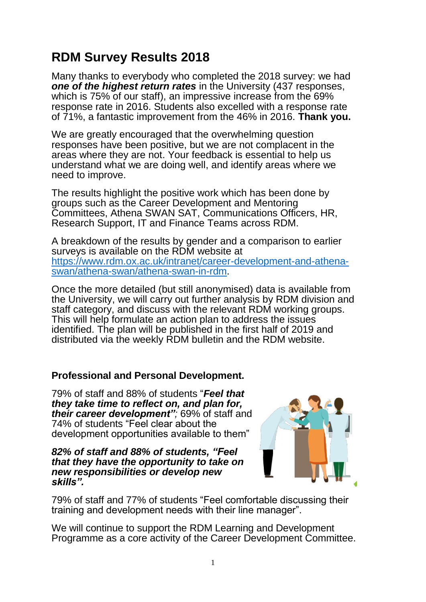# **RDM Survey Results 2018**

Many thanks to everybody who completed the 2018 survey: we had *one of the highest return rates* in the University (437 responses, which is 75% of our staff), an impressive increase from the 69% response rate in 2016. Students also excelled with a response rate of 71%, a fantastic improvement from the 46% in 2016. **Thank you.**

We are greatly encouraged that the overwhelming question responses have been positive, but we are not complacent in the areas where they are not. Your feedback is essential to help us understand what we are doing well, and identify areas where we need to improve.

The results highlight the positive work which has been done by groups such as the Career Development and Mentoring Committees, Athena SWAN SAT, Communications Officers, HR, Research Support, IT and Finance Teams across RDM.

A breakdown of the results by gender and a comparison to earlier surveys is available on the RDM website at [https://www.rdm.ox.ac.uk/intranet/career-development-and-athena](https://www.rdm.ox.ac.uk/intranet/career-development-and-athena-swan/athena-swan/athena-swan-in-rdm)[swan/athena-swan/athena-swan-in-rdm.](https://www.rdm.ox.ac.uk/intranet/career-development-and-athena-swan/athena-swan/athena-swan-in-rdm)

Once the more detailed (but still anonymised) data is available from the University, we will carry out further analysis by RDM division and staff category, and discuss with the relevant RDM working groups. This will help formulate an action plan to address the issues identified. The plan will be published in the first half of 2019 and distributed via the weekly RDM bulletin and the RDM website.

# **Professional and Personal Development.**

79% of staff and 88% of students "*Feel that they take time to reflect on, and plan for, their career development";* 69% of staff and 74% of students "Feel clear about the development opportunities available to them"

#### *82% of staff and 88% of students, "Feel that they have the opportunity to take on new responsibilities or develop new skills".*



79% of staff and 77% of students "Feel comfortable discussing their training and development needs with their line manager".

We will continue to support the RDM Learning and Development Programme as a core activity of the Career Development Committee.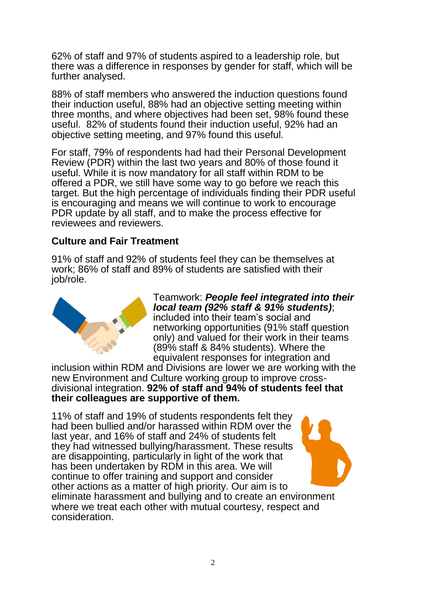62% of staff and 97% of students aspired to a leadership role, but there was a difference in responses by gender for staff, which will be further analysed.

88% of staff members who answered the induction questions found their induction useful, 88% had an objective setting meeting within three months, and where objectives had been set, 98% found these useful. 82% of students found their induction useful, 92% had an objective setting meeting, and 97% found this useful.

For staff, 79% of respondents had had their Personal Development Review (PDR) within the last two years and 80% of those found it useful. While it is now mandatory for all staff within RDM to be offered a PDR, we still have some way to go before we reach this target. But the high percentage of individuals finding their PDR useful is encouraging and means we will continue to work to encourage PDR update by all staff, and to make the process effective for reviewees and reviewers.

# **Culture and Fair Treatment**

91% of staff and 92% of students feel they can be themselves at work; 86% of staff and 89% of students are satisfied with their job/role.



Teamwork: *People feel integrated into their local team (92% staff & 91% students)*; included into their team's social and networking opportunities (91% staff question only) and valued for their work in their teams (89% staff & 84% students). Where the equivalent responses for integration and

inclusion within RDM and Divisions are lower we are working with the new Environment and Culture working group to improve crossdivisional integration. **92% of staff and 94% of students feel that their colleagues are supportive of them.**

11% of staff and 19% of students respondents felt they had been bullied and/or harassed within RDM over the last year, and 16% of staff and 24% of students felt they had witnessed bullying/harassment. These results are disappointing, particularly in light of the work that has been undertaken by RDM in this area. We will continue to offer training and support and consider other actions as a matter of high priority. Our aim is to eliminate harassment and bullying and to create an environment where we treat each other with mutual courtesy, respect and consideration.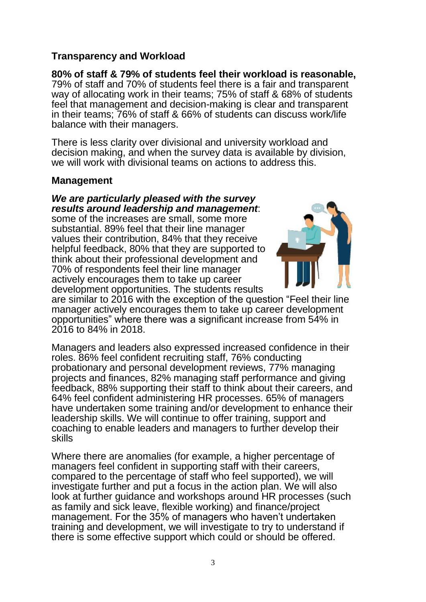# **Transparency and Workload**

**80% of staff & 79% of students feel their workload is reasonable,** 79% of staff and 70% of students feel there is a fair and transparent way of allocating work in their teams; 75% of staff & 68% of students feel that management and decision-making is clear and transparent in their teams; 76% of staff & 66% of students can discuss work/life balance with their managers.

There is less clarity over divisional and university workload and decision making, and when the survey data is available by division, we will work with divisional teams on actions to address this.

### **Management**

*We are particularly pleased with the survey results around leadership and management*:

some of the increases are small, some more substantial. 89% feel that their line manager values their contribution, 84% that they receive helpful feedback, 80% that they are supported to think about their professional development and 70% of respondents feel their line manager actively encourages them to take up career development opportunities. The students results



are similar to 2016 with the exception of the question "Feel their line manager actively encourages them to take up career development opportunities" where there was a significant increase from 54% in 2016 to 84% in 2018.

Managers and leaders also expressed increased confidence in their roles. 86% feel confident recruiting staff, 76% conducting probationary and personal development reviews, 77% managing projects and finances, 82% managing staff performance and giving feedback, 88% supporting their staff to think about their careers, and 64% feel confident administering HR processes. 65% of managers have undertaken some training and/or development to enhance their leadership skills. We will continue to offer training, support and coaching to enable leaders and managers to further develop their skills

Where there are anomalies (for example, a higher percentage of managers feel confident in supporting staff with their careers, compared to the percentage of staff who feel supported), we will investigate further and put a focus in the action plan. We will also look at further guidance and workshops around HR processes (such as family and sick leave, flexible working) and finance/project management. For the 35% of managers who haven't undertaken training and development, we will investigate to try to understand if there is some effective support which could or should be offered.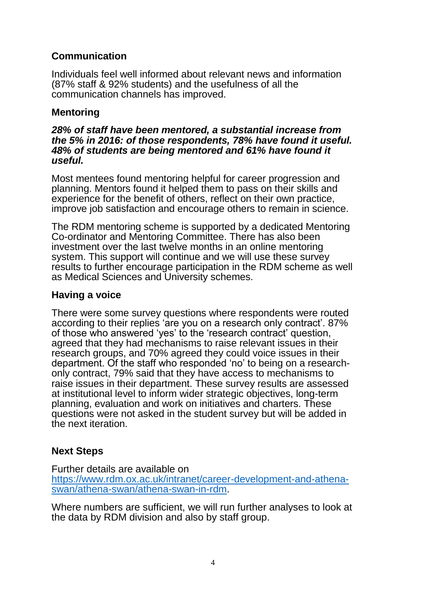# **Communication**

Individuals feel well informed about relevant news and information (87% staff & 92% students) and the usefulness of all the communication channels has improved.

# **Mentoring**

#### *28% of staff have been mentored, a substantial increase from the 5% in 2016: of those respondents, 78% have found it useful. 48% of students are being mentored and 61% have found it useful.*

Most mentees found mentoring helpful for career progression and planning. Mentors found it helped them to pass on their skills and experience for the benefit of others, reflect on their own practice, improve job satisfaction and encourage others to remain in science.

The RDM mentoring scheme is supported by a dedicated Mentoring Co-ordinator and Mentoring Committee. There has also been investment over the last twelve months in an online mentoring system. This support will continue and we will use these survey results to further encourage participation in the RDM scheme as well as Medical Sciences and University schemes.

### **Having a voice**

There were some survey questions where respondents were routed according to their replies 'are you on a research only contract'. 87% of those who answered 'yes' to the 'research contract' question, agreed that they had mechanisms to raise relevant issues in their research groups, and 70% agreed they could voice issues in their department. Of the staff who responded 'no' to being on a researchonly contract, 79% said that they have access to mechanisms to raise issues in their department. These survey results are assessed at institutional level to inform wider strategic objectives, long-term planning, evaluation and work on initiatives and charters. These questions were not asked in the student survey but will be added in the next iteration.

# **Next Steps**

Further details are available on [https://www.rdm.ox.ac.uk/intranet/career-development-and-athena](https://www.rdm.ox.ac.uk/intranet/career-development-and-athena-swan/athena-swan/athena-swan-in-rdm)[swan/athena-swan/athena-swan-in-rdm.](https://www.rdm.ox.ac.uk/intranet/career-development-and-athena-swan/athena-swan/athena-swan-in-rdm)

Where numbers are sufficient, we will run further analyses to look at the data by RDM division and also by staff group.